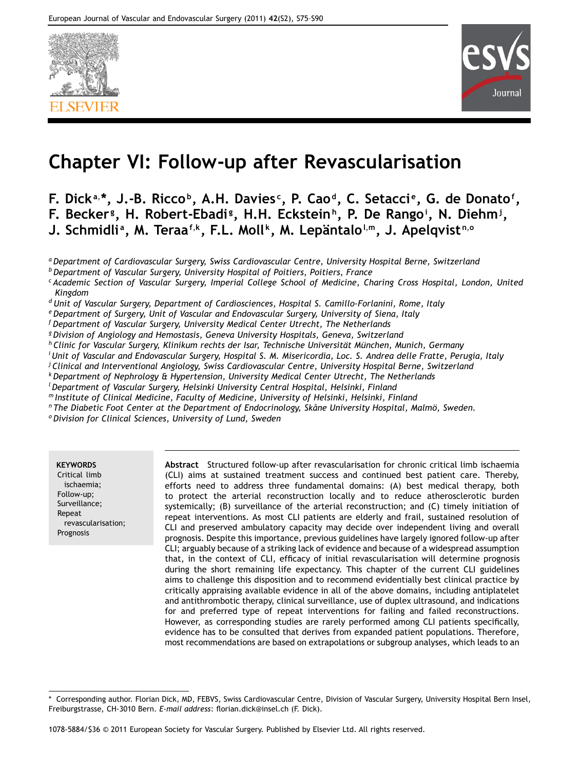



# Chapter VI: Follow-up after Revascularisation

F. Dicka,\*, J.-B. Riccob, A.H. Davies<sup>c</sup>, P. Caod, C. Setacci<sup>e</sup>, G. de Donato<sup>f</sup>, F. Becker<sup>g</sup>, H. Robert-Ebadi<sup>g</sup>, H.H. Ecksteinh, P. De Rangoi, N. Diehmi, J. Schmidli<sup>a</sup>, M. Teraa<sup>f,k</sup>, F.L. Moll<sup>k</sup>, M. Lepäntalo<sup>l,m</sup>, J. Apelqvist<sup>n,o</sup>

<sup>a</sup> Department of Cardiovascular Surgery, Swiss Cardiovascular Centre, University Hospital Berne, Switzerland

**b Department of Vascular Surgery, University Hospital of Poitiers, Poitiers, France** 

<sup>c</sup> Academic Section of Vascular Surgery, Imperial College School of Medicine, Charing Cross Hospital, London, United Kingdom

<sup>d</sup> Unit of Vascular Surgery, Department of Cardiosciences, Hospital S. Camillo-Forlanini, Rome, Italy

<sup>e</sup> Department of Surgery, Unit of Vascular and Endovascular Surgery, University of Siena, Italy

 $f$  Department of Vascular Surgery, University Medical Center Utrecht, The Netherlands

<sup>g</sup> Division of Angiology and Hemostasis, Geneva University Hospitals, Geneva, Switzerland

h Clinic for Vascular Surgery, Klinikum rechts der Isar, Technische Universität München, Munich, Germany

<sup>i</sup> Unit of Vascular and Endovascular Surgery, Hospital S. M. Misericordia, Loc. S. Andrea delle Fratte, Perugia, Italy

<sup>j</sup> Clinical and Interventional Angiology, Swiss Cardiovascular Centre, University Hospital Berne, Switzerland

 $k$  Department of Nephrology & Hypertension, University Medical Center Utrecht, The Netherlands

<sup>I</sup> Department of Vascular Surgery, Helsinki University Central Hospital, Helsinki, Finland

<sup>m</sup> Institute of Clinical Medicine, Faculty of Medicine, University of Helsinki, Helsinki, Finland

n The Diabetic Foot Center at the Department of Endocrinology, Skåne University Hospital, Malmö, Sweden.

<sup>o</sup> Division for Clinical Sciences, University of Lund, Sweden

**KEYWORDS** Critical limb

ischaemia; Follow-up; Surveillance; Repeat revascularisation; Prognosis

Abstract Structured follow-up after revascularisation for chronic critical limb ischaemia (CLI) aims at sustained treatment success and continued best patient care. Thereby, efforts need to address three fundamental domains: (A) best medical therapy, both to protect the arterial reconstruction locally and to reduce atherosclerotic burden systemically; (B) surveillance of the arterial reconstruction; and (C) timely initiation of repeat interventions. As most CLI patients are elderly and frail, sustained resolution of CLI and preserved ambulatory capacity may decide over independent living and overall prognosis. Despite this importance, previous guidelines have largely ignored follow-up after CLI; arguably because of a striking lack of evidence and because of a widespread assumption that, in the context of CLI, efficacy of initial revascularisation will determine prognosis during the short remaining life expectancy. This chapter of the current CLI guidelines aims to challenge this disposition and to recommend evidentially best clinical practice by critically appraising available evidence in all of the above domains, including antiplatelet and antithrombotic therapy, clinical surveillance, use of duplex ultrasound, and indications for and preferred type of repeat interventions for failing and failed reconstructions. However, as corresponding studies are rarely performed among CLI patients specifically, evidence has to be consulted that derives from expanded patient populations. Therefore, most recommendations are based on extrapolations or subgroup analyses, which leads to an

<sup>\*</sup> Corresponding author. Florian Dick, MD, FEBVS, Swiss Cardiovascular Centre, Division of Vascular Surgery, University Hospital Bern Insel, Freiburgstrasse, CH-3010 Bern. E-mail address: florian.dick@insel.ch (F. Dick).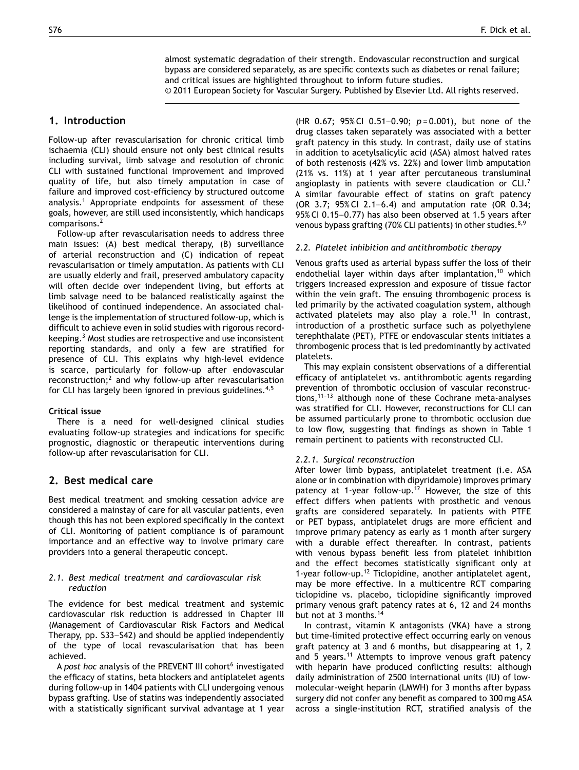almost systematic degradation of their strength. Endovascular reconstruction and surgical bypass are considered separately, as are specific contexts such as diabetes or renal failure; and critical issues are highlighted throughout to inform future studies. © 2011 European Society for Vascular Surgery. Published by Elsevier Ltd. All rights reserved.

# 1. Introduction

Follow-up after revascularisation for chronic critical limb ischaemia (CLI) should ensure not only best clinical results including survival, limb salvage and resolution of chronic CLI with sustained functional improvement and improved quality of life, but also timely amputation in case of failure and improved cost-efficiency by structured outcome analysis.1 Appropriate endpoints for assessment of these goals, however, are still used inconsistently, which handicaps comparisons.2

Follow-up after revascularisation needs to address three main issues: (A) best medical therapy, (B) surveillance of arterial reconstruction and (C) indication of repeat revascularisation or timely amputation. As patients with CLI are usually elderly and frail, preserved ambulatory capacity will often decide over independent living, but efforts at limb salvage need to be balanced realistically against the likelihood of continued independence. An associated challenge is the implementation of structured follow-up, which is difficult to achieve even in solid studies with rigorous recordkeeping.3 Most studies are retrospective and use inconsistent reporting standards, and only a few are stratified for presence of CLI. This explains why high-level evidence is scarce, particularly for follow-up after endovascular reconstruction;2 and why follow-up after revascularisation for CLI has largely been ignored in previous guidelines.<sup>4,5</sup>

#### Critical issue

There is a need for well-designed clinical studies evaluating follow-up strategies and indications for specific prognostic, diagnostic or therapeutic interventions during follow-up after revascularisation for CLI.

#### 2. Best medical care

Best medical treatment and smoking cessation advice are considered a mainstay of care for all vascular patients, even though this has not been explored specifically in the context of CLI. Monitoring of patient compliance is of paramount importance and an effective way to involve primary care providers into a general therapeutic concept.

#### 2.1. Best medical treatment and cardiovascular risk reduction

The evidence for best medical treatment and systemic cardiovascular risk reduction is addressed in Chapter III (Management of Cardiovascular Risk Factors and Medical Therapy, pp. S33–S42) and should be applied independently of the type of local revascularisation that has been achieved.

A post hoc analysis of the PREVENT III cohort<sup>6</sup> investigated the efficacy of statins, beta blockers and antiplatelet agents during follow-up in 1404 patients with CLI undergoing venous bypass grafting. Use of statins was independently associated with a statistically significant survival advantage at 1 year (HR 0.67; 95% CI 0.51-0.90;  $p = 0.001$ ), but none of the drug classes taken separately was associated with a better graft patency in this study. In contrast, daily use of statins in addition to acetylsalicylic acid (ASA) almost halved rates of both restenosis (42% vs. 22%) and lower limb amputation (21% vs. 11%) at 1 year after percutaneous transluminal angioplasty in patients with severe claudication or CLI. A similar favourable effect of statins on graft patency  $(OR\ 3.7; \ 95\% \, CI\ 2.1-6.4)$  and amputation rate  $(OR\ 0.34; \dots)$ 95% CI 0.15–0.77) has also been observed at 1.5 years after venous bypass grafting (70% CLI patients) in other studies.<sup>8,9</sup>

#### 2.2. Platelet inhibition and antithrombotic therapy

Venous grafts used as arterial bypass suffer the loss of their endothelial layer within days after implantation,<sup>10</sup> which triggers increased expression and exposure of tissue factor within the vein graft. The ensuing thrombogenic process is led primarily by the activated coagulation system, although activated platelets may also play a role.<sup>11</sup> In contrast, introduction of a prosthetic surface such as polyethylene terephthalate (PET), PTFE or endovascular stents initiates a thrombogenic process that is led predominantly by activated platelets.

This may explain consistent observations of a differential efficacy of antiplatelet vs. antithrombotic agents regarding prevention of thrombotic occlusion of vascular reconstructions, $11-13$  although none of these Cochrane meta-analyses was stratified for CLI. However, reconstructions for CLI can be assumed particularly prone to thrombotic occlusion due to low flow, suggesting that findings as shown in Table 1 remain pertinent to patients with reconstructed CLI.

#### 2.2.1. Surgical reconstruction

After lower limb bypass, antiplatelet treatment (i.e. ASA alone or in combination with dipyridamole) improves primary patency at 1-year follow-up.<sup>12</sup> However, the size of this effect differs when patients with prosthetic and venous grafts are considered separately. In patients with PTFE or PET bypass, antiplatelet drugs are more efficient and improve primary patency as early as 1 month after surgery with a durable effect thereafter. In contrast, patients with venous bypass benefit less from platelet inhibition and the effect becomes statistically significant only at 1-year follow-up.<sup>12</sup> Ticlopidine, another antiplatelet agent, may be more effective. In a multicentre RCT comparing ticlopidine vs. placebo, ticlopidine significantly improved primary venous graft patency rates at 6, 12 and 24 months but not at 3 months.<sup>14</sup>

In contrast, vitamin K antagonists (VKA) have a strong but time-limited protective effect occurring early on venous graft patency at 3 and 6 months, but disappearing at 1, 2 and 5 years.<sup>11</sup> Attempts to improve venous graft patency with heparin have produced conflicting results: although daily administration of 2500 international units (IU) of lowmolecular-weight heparin (LMWH) for 3 months after bypass surgery did not confer any benefit as compared to 300 mg ASA across a single-institution RCT, stratified analysis of the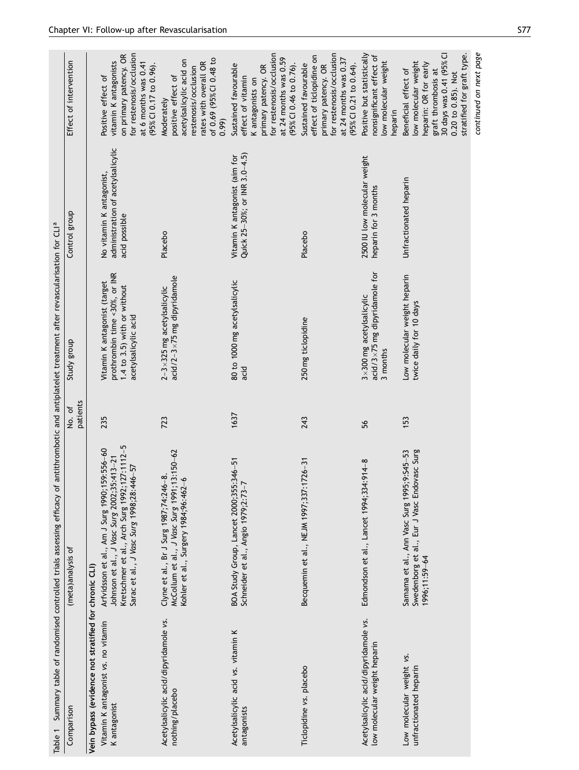| Table 1 Summary table of randomised controlled trials assessing efficacy of<br>Comparison | (meta)analysis of                                                                                                                                                                          | ð<br>ġ   | antithrombotic and antiplatelet treatment after revascularisation for CLI <sup>a</sup><br>Study group                | Control group                                                                  | Effect of intervention                                                                                                                                                       |
|-------------------------------------------------------------------------------------------|--------------------------------------------------------------------------------------------------------------------------------------------------------------------------------------------|----------|----------------------------------------------------------------------------------------------------------------------|--------------------------------------------------------------------------------|------------------------------------------------------------------------------------------------------------------------------------------------------------------------------|
|                                                                                           |                                                                                                                                                                                            | patients |                                                                                                                      |                                                                                |                                                                                                                                                                              |
| Vein bypass (evidence not stratified for chronic CLI)                                     |                                                                                                                                                                                            |          |                                                                                                                      |                                                                                |                                                                                                                                                                              |
| Vitamin K antagonist vs. no vitamin<br>K antagonist                                       | Kretschmer et al., Arch Surg 1992;127:1112-5<br>59:556-60<br>Johnson et al., J Vasc Surg 2002;35:413-21<br>Sarac et al., J Vasc Surg 1998;28:446-57<br>Arfvidsson et al., Am J Surg 1990;1 | 235      | prothrombin time <30%, or INR<br>Vitamin K antagonist (target<br>1.4 to 3.5) with or without<br>acetylsalicylic acid | administration of acetylsalicylic<br>No vitamin K antagonist,<br>acid possible | for restenosis/occlusion<br>on primary patency. OR<br>vitamin K antagonists<br>at 6 months was 0.41<br>(95% CI 0.17 to 0.96).<br>Positive effect of                          |
| Acetylsalicylic acid/dipyridamole vs.<br>nothing/placebo                                  | McCollum et al., J Vasc Surg 1991;13:150-62<br>Clyne et al., Br J Surg 1987;74:246-8.<br>Kohler et al., Surgery 1984;96:462-6                                                              | 723      | $acid/2-3\times75$ mg dipyridamole<br>$2-3\times325$ mg acetylsalicylic                                              | Placebo                                                                        | of 0.69 (95% CI 0.48 to<br>acetylsalicylic acid on<br>rates with overall OR<br>restenosis/occlusion<br>positive effect of<br>Moderately<br>0.99)                             |
| Acetylsalicylic acid vs. vitamin K<br>antagonists                                         | BOA Study Group, Lancet 2000;355:346-51<br>Schneider et al., Angio 1979;2:73-7                                                                                                             | 1637     | 80 to 1000 mg acetylsalicylic<br>acid                                                                                | Quick 25-30%; or INR 3.0-4.5)<br>Vitamin K antagonist (aim for                 | for restenosis/occlusion<br>at 24 months was 0.59<br>(95% CI 0.46 to 0.76).<br>Sustained favourable<br>primary patency. OR<br>effect of vitamin<br>K antagonists on          |
| Ticlopidine vs. placebo                                                                   | Becquemin et al., NEJM 1997;337:1726-31                                                                                                                                                    | 243      | 250 mg ticlopidine                                                                                                   | Placebo                                                                        | for restenosis/occlusion<br>effect of ticlopidine on<br>at 24 months was 0.37<br>Sustained favourable<br>(95% CI 0.21 to 0.64).<br>primary patency. OR                       |
| Acetylsalicylic acid/dipyridamole vs.<br>low molecular weight heparin                     | Edmondson et al., Lancet 1994;334:914-8                                                                                                                                                    | 56       | acid/3×75 mg dipyridamole for<br>3×300 mg acetylsalicylic<br>3 months                                                | 2500 IU low molecular weight<br>heparin for 3 months                           | Positive but statistically<br>nonsignificant effect of<br>low molecular weight<br>heparin                                                                                    |
| Low molecular weight vs.<br>unfractionated heparin                                        | Swedenborg et al., Eur J Vasc Endovasc Surg<br>Samama et al., Ann Vasc Surg 1995;9:S45-53<br>1996;11:59-64                                                                                 | 153      | Low molecular weight heparin<br>twice daily for 10 days                                                              | Unfractionated heparin                                                         | stratified for graft type.<br>30 days was 0.41 (95% CI<br>low molecular weight<br>heparin: OR for early<br>Beneficial effect of<br>graft thrombosis at<br>0.20 to 0.85). Not |
|                                                                                           |                                                                                                                                                                                            |          |                                                                                                                      |                                                                                | continued on next page                                                                                                                                                       |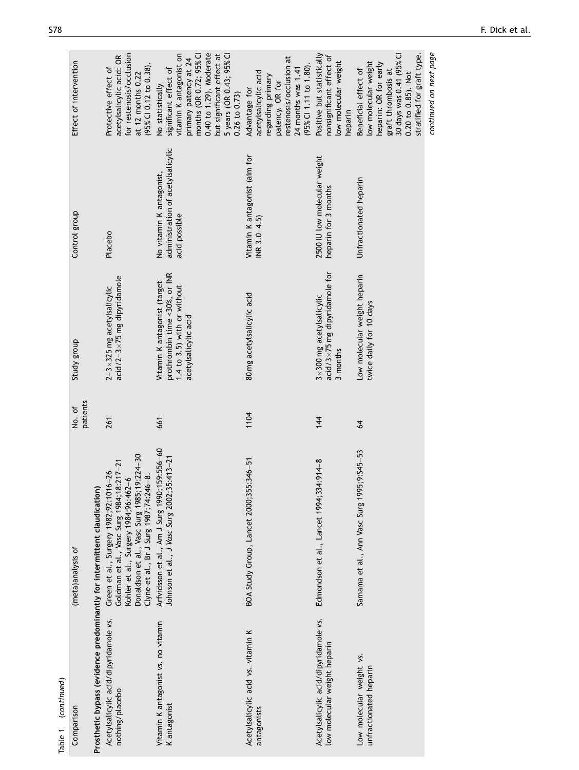| Table 1 (continued)                                                      |                                                                                                                                                                                                                   |                    |                                                                                                                      |                                                                                |                                                                                                                                                                                                                                  |
|--------------------------------------------------------------------------|-------------------------------------------------------------------------------------------------------------------------------------------------------------------------------------------------------------------|--------------------|----------------------------------------------------------------------------------------------------------------------|--------------------------------------------------------------------------------|----------------------------------------------------------------------------------------------------------------------------------------------------------------------------------------------------------------------------------|
| Comparison                                                               | (meta)analysis of                                                                                                                                                                                                 | patients<br>No. of | dno.ls Kpn3                                                                                                          | Control group                                                                  | Effect of intervention                                                                                                                                                                                                           |
| Prosthetic bypass (evidence predominantly for intermittent claudication) |                                                                                                                                                                                                                   |                    |                                                                                                                      |                                                                                |                                                                                                                                                                                                                                  |
| Acetylsalicylic acid/dipyridamole vs.<br>nothing/placebo                 | Donaldson et al., Vasc Surg 1985;19:224-30<br>Goldman et al., Vasc Surg 1984;18:217-21<br>Green et al., Surgery 1982;92:1016-26<br>Clyne et al., Br J Surg 1987;74:246-8.<br>Kohler et al., Surgery 1984;96:462-6 | 261                | $acid/2-3\times75$ mg dipyridamole<br>$2-3 \times 325$ mg acetylsalicylic                                            | Placebo                                                                        | for restenosis/occlusion<br>acetylsalicylic acid: OR<br>(95% CI 0.12 to 0.38).<br>Protective effect of<br>at 12 months 0.22                                                                                                      |
| Vitamin K antagonist vs. no vitamin<br>K antagonist                      | Arfvidsson et al., Am J Surg 1990;159:556–60<br>Johnson et al., <i>J Vasc Surg 2002;35:4</i> 13–21                                                                                                                | 661                | prothrombin time <30%, or INR<br>Vitamin K antagonist (target<br>1.4 to 3.5) with or without<br>acetylsalicylic acid | administration of acetylsalicylic<br>No vitamin K antagonist,<br>acid possible | 0.40 to 1.29). Moderate<br>months (OR 0.72; 95% CI<br>but significant effect at<br>5 years (OR 0.43; 95% CI<br>vitamin K antagonist on<br>primary patency at 24<br>significant effect of<br>No statistically<br>$0.26$ to $0.73$ |
| Acetylsalicylic acid vs. vitamin K<br>antagonists                        | BOA Study Group, Lancet 2000;355:346-51                                                                                                                                                                           | 1104               | 80 mg acetylsalicylic acid                                                                                           | Vitamin K antagonist (aim for<br>INR 3.0-4.5)                                  | restenosis/occlusion at<br>(95% CI 1.11 to 1.80).<br>24 months was $1.41$<br>acetylsalicylic acid<br>regarding primary<br>patency. OR for<br>Advantage for                                                                       |
| Acetylsalicylic acid/dipyridamole vs.<br>low molecular weight heparin    | Edmondson et al., Lancet 1994;334:914-8                                                                                                                                                                           | $\frac{4}{4}$      | acid/3×75 mg dipyridamole for<br>3×300 mg acetylsalicylic<br>3 months                                                | 2500 IU low molecular weight<br>heparin for 3 months                           | Positive but statistically<br>nonsignificant effect of<br>low molecular weight<br>heparin                                                                                                                                        |
| Low molecular weight vs.<br>unfractionated heparin                       | Samama et al., Ann Vasc Surg 1995;9:S45-53                                                                                                                                                                        | 2                  | Low molecular weight heparin<br>twice daily for 10 days                                                              | Unfractionated heparin                                                         | stratified for graft type.<br>30 days was 0.41 (95% CI<br>low molecular weight<br>heparin: OR for early<br>Beneficial effect of<br>graft thrombosis at<br>0.20 to 0.85). Not                                                     |
|                                                                          |                                                                                                                                                                                                                   |                    |                                                                                                                      |                                                                                | continued on next page                                                                                                                                                                                                           |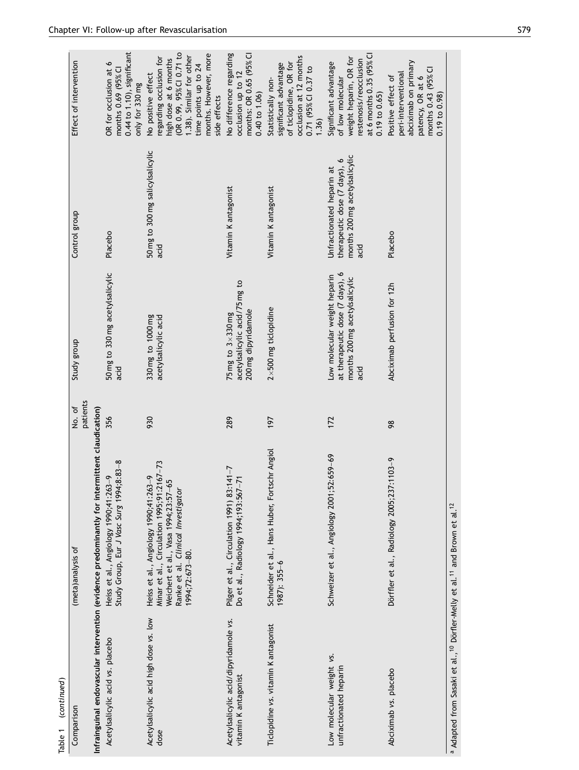| (continued)<br>Table 1                                                                                        |                                                                                                                                                                                    |                    |                                                                                                          |                                                                                                    |                                                                                                                                                                                                 |
|---------------------------------------------------------------------------------------------------------------|------------------------------------------------------------------------------------------------------------------------------------------------------------------------------------|--------------------|----------------------------------------------------------------------------------------------------------|----------------------------------------------------------------------------------------------------|-------------------------------------------------------------------------------------------------------------------------------------------------------------------------------------------------|
| Comparison                                                                                                    | (meta)analysis of                                                                                                                                                                  | patients<br>No. of | dno.fa<br>Road                                                                                           | Control group                                                                                      | Effect of intervention                                                                                                                                                                          |
|                                                                                                               | Infrainguinal endovascular intervention (evidence predominantly for intermittent claudication)                                                                                     |                    |                                                                                                          |                                                                                                    |                                                                                                                                                                                                 |
| Acetylsalicylic acid vs. placebo                                                                              | Study Group, Eur J Vasc Surg 1994;8:83-8<br>Heiss et al., Angiology 1990;41:263-9                                                                                                  | 356                | 50 mg to 330 mg acetylsalicylic<br>acid                                                                  | Placebo                                                                                            | $0.44$ to 1.10), significant<br>OR for occlusion at 6<br>months 0.69 (95% CI<br>only for 330 mg                                                                                                 |
| Acetylsalicylic acid high dose vs. low<br>dose                                                                | Minar et al., Circulation 1995;91:2167-73<br>Heiss et al., Angiology 1990;41:263-9<br>Weichert et al., Vasa 1994;23:57-65<br>Ranke et al. Clinical Investigator<br>1994;72:673-80. | 930                | 330 mg to 1000 mg<br>acetylsalicylic acid                                                                | 50 mg to 300 mg salicylsalicylic<br>acid                                                           | (OR 0.99, 95% CI 0.71 to<br>months. However, more<br>regarding occlusion for<br>1.38). Similar for other<br>high dose at 6 months<br>time points up to 24<br>No positive effect<br>side effects |
| Acetylsalicylic acid/dipyridamole vs.<br>vitamin K antagonist                                                 | Pilger et al., Circulation 1991) 83:141-7<br>Do et al., Radiology 1994;193:567-71                                                                                                  | 289                | acetylsalicylic acid/75 mg to<br>200 mg dipyridamole<br>75 mg to 3×330 mg                                | Vitamin K antagonist                                                                               | No difference regarding<br>months: OR 0.65 (95% CI<br>occlusion up to 12<br>$0.40 \text{ to } 1.06$                                                                                             |
| Ticlopidine vs. vitamin K antagonist                                                                          | Schneider et al., Hans Huber, Fortschr Angiol<br>1987): 355-6                                                                                                                      | 197                | $2\times$ 500 mg ticlopidine                                                                             | Vitamin K antagonist                                                                               | occlusion at 12 months<br>of ticlopidine, OR for<br>significant advantage<br>0.71 (95% CI 0.37 to<br>Statistically non-<br>1.36)                                                                |
| Low molecular weight vs.<br>unfractionated heparin                                                            | Schweizer et al., Angiology 2001;52:659-69                                                                                                                                         | 172                | at therapeutic dose (7 days), 6<br>Low molecular weight heparin<br>months 200 mg acetylsalicylic<br>acid | months 200 mg acetylsalicylic<br>therapeutic dose (7 days), 6<br>Unfractionated heparin at<br>acid | at 6 months 0.35 (95% CI<br>weight heparin, OR for<br>restenosis/reocclusion<br>Significant advantage<br>of low molecular<br>$0.19$ to $0.65$                                                   |
| Abciximab vs. placebo                                                                                         | Dörffler et al., Radiology 2005;237:1103-9                                                                                                                                         | 98                 | Abciximab perfusion for 12h                                                                              | Placebo                                                                                            | abciximab on primary<br>months 0.43 (95% CI<br>peri-interventional<br>patency, OR at 6<br>Positive effect of<br>0.19 to 0.98)                                                                   |
| a Adapted from Sasaki et al., <sup>10</sup> Dörfler-Melly et al. <sup>11</sup> and Brown et al. <sup>12</sup> |                                                                                                                                                                                    |                    |                                                                                                          |                                                                                                    |                                                                                                                                                                                                 |

Chapter VI: Follow-up after Revascularisation S79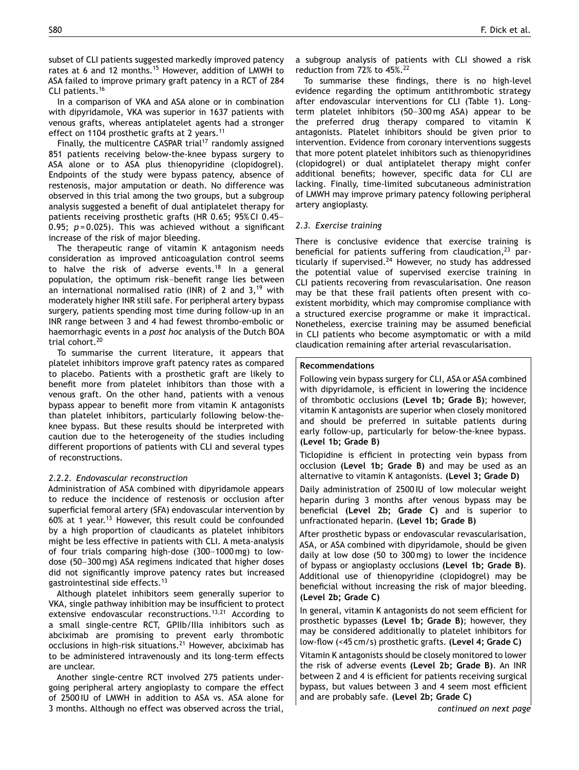subset of CLI patients suggested markedly improved patency rates at 6 and 12 months.<sup>15</sup> However, addition of LMWH to ASA failed to improve primary graft patency in a RCT of 284 CLI patients.16

In a comparison of VKA and ASA alone or in combination with dipyridamole, VKA was superior in 1637 patients with venous grafts, whereas antiplatelet agents had a stronger effect on 1104 prosthetic grafts at 2 years.<sup>11</sup>

Finally, the multicentre CASPAR trial<sup>17</sup> randomly assigned 851 patients receiving below-the-knee bypass surgery to ASA alone or to ASA plus thienopyridine (clopidogrel). Endpoints of the study were bypass patency, absence of restenosis, major amputation or death. No difference was observed in this trial among the two groups, but a subgroup analysis suggested a benefit of dual antiplatelet therapy for patients receiving prosthetic grafts (HR 0.65; 95% CI 0.45–– 0.95;  $p = 0.025$ ). This was achieved without a significant increase of the risk of major bleeding.

The therapeutic range of vitamin K antagonism needs consideration as improved anticoagulation control seems to halve the risk of adverse events.<sup>18</sup> In a general population, the optimum risk–benefit range lies between an international normalised ratio (INR) of 2 and  $3,19$  with moderately higher INR still safe. For peripheral artery bypass surgery, patients spending most time during follow-up in an INR range between 3 and 4 had fewest thrombo-embolic or haemorrhagic events in a post hoc analysis of the Dutch BOA trial cohort.<sup>20</sup>

To summarise the current literature, it appears that platelet inhibitors improve graft patency rates as compared to placebo. Patients with a prosthetic graft are likely to benefit more from platelet inhibitors than those with a venous graft. On the other hand, patients with a venous bypass appear to benefit more from vitamin K antagonists than platelet inhibitors, particularly following below-theknee bypass. But these results should be interpreted with caution due to the heterogeneity of the studies including different proportions of patients with CLI and several types of reconstructions.

#### 2.2.2. Endovascular reconstruction

Administration of ASA combined with dipyridamole appears to reduce the incidence of restenosis or occlusion after superficial femoral artery (SFA) endovascular intervention by 60% at 1 year.13 However, this result could be confounded by a high proportion of claudicants as platelet inhibitors might be less effective in patients with CLI. A meta-analysis of four trials comparing high-dose  $(300-1000 \,\mathrm{mg})$  to lowdose (50–300 mg) ASA regimens indicated that higher doses did not significantly improve patency rates but increased gastrointestinal side effects.13

Although platelet inhibitors seem generally superior to VKA, single pathway inhibition may be insufficient to protect extensive endovascular reconstructions.<sup>13,21</sup> According to a small single-centre RCT, GPIIb/IIIa inhibitors such as abciximab are promising to prevent early thrombotic occlusions in high-risk situations.<sup>21</sup> However, abciximab has to be administered intravenously and its long-term effects are unclear.

Another single-centre RCT involved 275 patients undergoing peripheral artery angioplasty to compare the effect of 2500 IU of LMWH in addition to ASA vs. ASA alone for 3 months. Although no effect was observed across the trial,

a subgroup analysis of patients with CLI showed a risk reduction from 72% to 45%.22

To summarise these findings, there is no high-level evidence regarding the optimum antithrombotic strategy after endovascular interventions for CLI (Table 1). Longterm platelet inhibitors (50-300 mg ASA) appear to be the preferred drug therapy compared to vitamin K antagonists. Platelet inhibitors should be given prior to intervention. Evidence from coronary interventions suggests that more potent platelet inhibitors such as thienopyridines (clopidogrel) or dual antiplatelet therapy might confer additional benefits; however, specific data for CLI are lacking. Finally, time-limited subcutaneous administration of LMWH may improve primary patency following peripheral artery angioplasty.

#### 2.3. Exercise training

There is conclusive evidence that exercise training is beneficial for patients suffering from claudication, $^{23}$  particularly if supervised. $24$  However, no study has addressed the potential value of supervised exercise training in CLI patients recovering from revascularisation. One reason may be that these frail patients often present with coexistent morbidity, which may compromise compliance with a structured exercise programme or make it impractical. Nonetheless, exercise training may be assumed beneficial in CLI patients who become asymptomatic or with a mild claudication remaining after arterial revascularisation.

#### Recommendations

Following vein bypass surgery for CLI, ASA or ASA combined with dipyridamole, is efficient in lowering the incidence of thrombotic occlusions (Level 1b; Grade B); however, vitamin K antagonists are superior when closely monitored and should be preferred in suitable patients during early follow-up, particularly for below-the-knee bypass. (Level 1b; Grade B)

Ticlopidine is efficient in protecting vein bypass from occlusion (Level 1b; Grade B) and may be used as an alternative to vitamin K antagonists. (Level 3; Grade D)

Daily administration of 2500 IU of low molecular weight heparin during 3 months after venous bypass may be beneficial (Level 2b; Grade C) and is superior to unfractionated heparin. (Level 1b; Grade B)

After prosthetic bypass or endovascular revascularisation, ASA, or ASA combined with dipyridamole, should be given daily at low dose (50 to 300 mg) to lower the incidence of bypass or angioplasty occlusions (Level 1b; Grade B). Additional use of thienopyridine (clopidogrel) may be beneficial without increasing the risk of major bleeding. (Level 2b; Grade C)

In general, vitamin K antagonists do not seem efficient for prosthetic bypasses (Level 1b; Grade B); however, they may be considered additionally to platelet inhibitors for low-flow (<45 cm/s) prosthetic grafts. (Level 4; Grade C)

Vitamin K antagonists should be closely monitored to lower the risk of adverse events (Level 2b; Grade B). An INR between 2 and 4 is efficient for patients receiving surgical bypass, but values between 3 and 4 seem most efficient and are probably safe. (Level 2b; Grade C)

continued on next page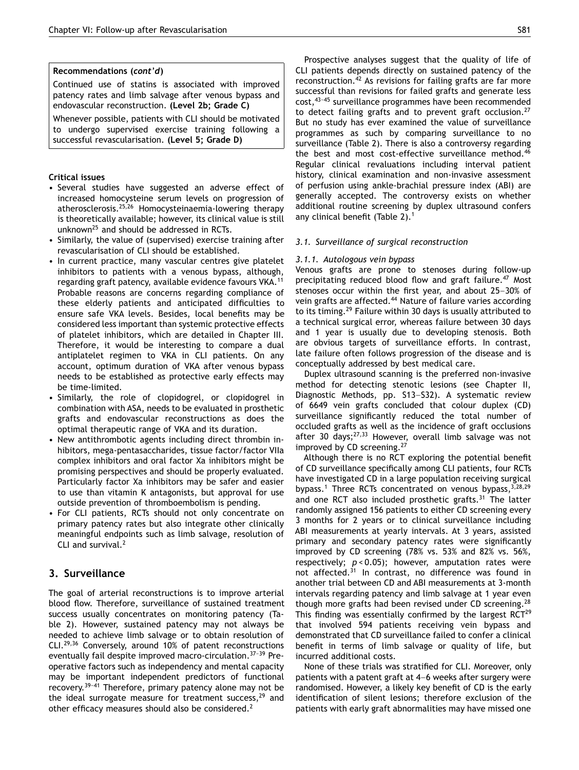#### Recommendations (cont'd)

Continued use of statins is associated with improved patency rates and limb salvage after venous bypass and endovascular reconstruction. (Level 2b; Grade C)

Whenever possible, patients with CLI should be motivated to undergo supervised exercise training following a successful revascularisation. (Level 5; Grade D)

#### Critical issues

- Several studies have suggested an adverse effect of increased homocysteine serum levels on progression of atherosclerosis.25,26 Homocysteinaemia-lowering therapy is theoretically available; however, its clinical value is still unknown<sup>25</sup> and should be addressed in RCTs.
- Similarly, the value of (supervised) exercise training after revascularisation of CLI should be established.
- In current practice, many vascular centres give platelet inhibitors to patients with a venous bypass, although, regarding graft patency, available evidence favours VKA.<sup>11</sup> Probable reasons are concerns regarding compliance of these elderly patients and anticipated difficulties to ensure safe VKA levels. Besides, local benefits may be considered less important than systemic protective effects of platelet inhibitors, which are detailed in Chapter III. Therefore, it would be interesting to compare a dual antiplatelet regimen to VKA in CLI patients. On any account, optimum duration of VKA after venous bypass needs to be established as protective early effects may be time-limited.
- Similarly, the role of clopidogrel, or clopidogrel in combination with ASA, needs to be evaluated in prosthetic grafts and endovascular reconstructions as does the optimal therapeutic range of VKA and its duration.
- New antithrombotic agents including direct thrombin inhibitors, mega-pentasaccharides, tissue factor/factor VIIa complex inhibitors and oral factor Xa inhibitors might be promising perspectives and should be properly evaluated. Particularly factor Xa inhibitors may be safer and easier to use than vitamin K antagonists, but approval for use outside prevention of thromboembolism is pending.
- For CLI patients, RCTs should not only concentrate on primary patency rates but also integrate other clinically meaningful endpoints such as limb salvage, resolution of CLI and survival.<sup>2</sup>

# 3. Surveillance

The goal of arterial reconstructions is to improve arterial blood flow. Therefore, surveillance of sustained treatment success usually concentrates on monitoring patency (Table 2). However, sustained patency may not always be needed to achieve limb salvage or to obtain resolution of CLI.29,36 Conversely, around 10% of patent reconstructions eventually fail despite improved macro-circulation.<sup>37-39</sup> Preoperative factors such as independency and mental capacity may be important independent predictors of functional recovery.<sup>39-41</sup> Therefore, primary patency alone may not be the ideal surrogate measure for treatment success,  $29$  and other efficacy measures should also be considered.<sup>2</sup>

Prospective analyses suggest that the quality of life of CLI patients depends directly on sustained patency of the reconstruction.42 As revisions for failing grafts are far more successful than revisions for failed grafts and generate less cost, 43-45 surveillance programmes have been recommended to detect failing grafts and to prevent graft occlusion.<sup>27</sup> But no study has ever examined the value of surveillance programmes as such by comparing surveillance to no surveillance (Table 2). There is also a controversy regarding

the best and most cost-effective surveillance method.<sup>46</sup> Regular clinical revaluations including interval patient history, clinical examination and non-invasive assessment of perfusion using ankle-brachial pressure index (ABI) are generally accepted. The controversy exists on whether additional routine screening by duplex ultrasound confers any clinical benefit (Table 2).<sup>1</sup>

#### 3.1. Surveillance of surgical reconstruction

#### 3.1.1. Autologous vein bypass

Venous grafts are prone to stenoses during follow-up precipitating reduced blood flow and graft failure.<sup>47</sup> Most stenoses occur within the first year, and about 25-30% of vein grafts are affected.<sup>44</sup> Nature of failure varies according to its timing.29 Failure within 30 days is usually attributed to a technical surgical error, whereas failure between 30 days and 1 year is usually due to developing stenosis. Both are obvious targets of surveillance efforts. In contrast, late failure often follows progression of the disease and is conceptually addressed by best medical care.

Duplex ultrasound scanning is the preferred non-invasive method for detecting stenotic lesions (see Chapter II, Diagnostic Methods, pp. S13-S32). A systematic review of 6649 vein grafts concluded that colour duplex (CD) surveillance significantly reduced the total number of occluded grafts as well as the incidence of graft occlusions after 30 days; $27,33$  However, overall limb salvage was not improved by CD screening.<sup>27</sup>

Although there is no RCT exploring the potential benefit of CD surveillance specifically among CLI patients, four RCTs have investigated CD in a large population receiving surgical bypass.<sup>1</sup> Three RCTs concentrated on venous bypass,  $3,28,29$ and one RCT also included prosthetic grafts.<sup>31</sup> The latter randomly assigned 156 patients to either CD screening every 3 months for 2 years or to clinical surveillance including ABI measurements at yearly intervals. At 3 years, assisted primary and secondary patency rates were significantly improved by CD screening (78% vs. 53% and 82% vs. 56%, respectively;  $p < 0.05$ ); however, amputation rates were not affected.31 In contrast, no difference was found in another trial between CD and ABI measurements at 3-month intervals regarding patency and limb salvage at 1 year even though more grafts had been revised under CD screening.<sup>28</sup> This finding was essentially confirmed by the largest  $RCT^{29}$ that involved 594 patients receiving vein bypass and demonstrated that CD surveillance failed to confer a clinical benefit in terms of limb salvage or quality of life, but incurred additional costs.

None of these trials was stratified for CLI. Moreover, only patients with a patent graft at  $4-6$  weeks after surgery were randomised. However, a likely key benefit of CD is the early identification of silent lesions; therefore exclusion of the patients with early graft abnormalities may have missed one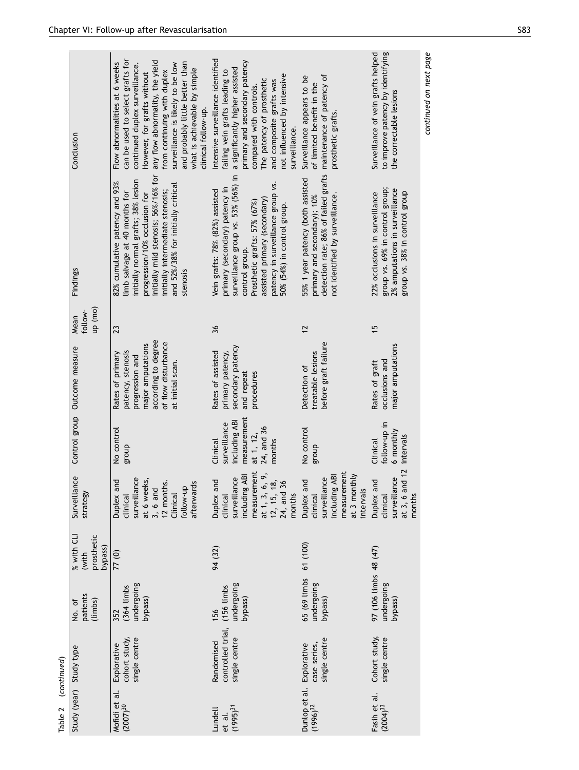| Table 2                                  | (continued)                                      |                                                |                                              |                                                                                                                                                          |                                                                                               |                                                                                                                                                 |                            |                                                                                                                                                                                                                                                                      |                                                                                                                                                                                                                                                                                                                                    |
|------------------------------------------|--------------------------------------------------|------------------------------------------------|----------------------------------------------|----------------------------------------------------------------------------------------------------------------------------------------------------------|-----------------------------------------------------------------------------------------------|-------------------------------------------------------------------------------------------------------------------------------------------------|----------------------------|----------------------------------------------------------------------------------------------------------------------------------------------------------------------------------------------------------------------------------------------------------------------|------------------------------------------------------------------------------------------------------------------------------------------------------------------------------------------------------------------------------------------------------------------------------------------------------------------------------------|
|                                          | Study (year) Study type                          | patients<br>(limbs)<br>No.of                   | % with CLI<br>prosthetic<br>bypass)<br>(with | Surveillance<br>strategy                                                                                                                                 | Control group                                                                                 | Outcome measure                                                                                                                                 | (uu) dn<br>follow-<br>Mean | Findings                                                                                                                                                                                                                                                             | Conclusion                                                                                                                                                                                                                                                                                                                         |
| Mofidi et al.<br>$(2007)^{30}$           | single centre<br>cohort study,<br>Explorative    | undergoing<br>(364 limbs<br>bypass)<br>352     | 77(0)                                        | surveillance<br>at 6 weeks,<br>3, 6 and<br>12 months.<br>Duplex and<br>follow-up<br>afterwards<br>Clinical<br>clinical                                   | No control<br>dno.la                                                                          | according to degree<br>of flow disturbance<br>major amputations<br>patency, stenosis<br>Rates of primary<br>progression and<br>at initial scan. | 23                         | initially mild stenosis; 56%/16% for<br>initially normal grafts; 38% lesion<br>82% cumulative patency and 93%<br>and 52%/38% for initially critical<br>initially intermediate stenosis;<br>imb salvage at 40 months for<br>progression/10% occlusion for<br>stenosis | can be used to select grafts for<br>any flow abnormality, the yield<br>and probably little better than<br>Flow abnormalities at 6 weeks<br>surveillance is likely to be low<br>continued duplex surveillance.<br>what is achievable by simple<br>from continuing with duplex<br>However, for grafts without<br>clinical follow-up. |
| $(1995)^{31}$<br><b>undell</b><br>et al. | controlled trial,<br>single centre<br>Randomised | undergoing<br>(156 limbs<br>bypass)<br>156     | 94 (32)                                      | measurement<br>6, 9,<br>including ABI<br>surveillance<br>Duplex and<br>18,<br>36<br>at 1, 3, $(1, 15, 15, 12, 15, 15, 15, 15, 15)$<br>months<br>clinical | measurement<br>including ABI<br>surveillance<br>24, and 36<br>at 1, 12,<br>Clinical<br>months | secondary patency<br>Rates of assisted<br>primary patency,<br>and repeat<br>procedures                                                          | 36                         | surveillance group vs. 53% (56%) in<br>patency in surveillance group vs.<br>primary (secondary) patency in<br>Vein grafts: 78% (82%) assisted<br>assisted primary (secondary)<br>Prosthetic grafts: 57% (67%)<br>50% (54%) in control group.<br>control group.       | ntensive surveillance identified<br>primary and secondary patency<br>a significantly higher assisted<br>failing vein grafts leading to<br>not influenced by intensive<br>The patency of prosthetic<br>and composite grafts was<br>compared with controls.<br>surveillance.                                                         |
| Dunlop et al.<br>$(1996)^{32}$           | single centre<br>case series,<br>Explorative     | 65 (69 limbs<br>undergoing<br>bypass)          | 61 (100)                                     | measurement<br>at 3 monthly<br>surveillance<br>including ABI<br>Duplex and<br>clinical<br>intervals                                                      | No control<br>dno.fa                                                                          | before graft failure<br>treatable lesions<br>Detection of                                                                                       | $\overline{c}$             | detection rate; 86% of failed grafts<br>55% 1 year patency (both assisted<br>not identified by surveillance.<br>primary and secondary); 10%                                                                                                                          | maintenance of patency of<br>Surveillance appears to be<br>of limited benefit in the<br>prosthetic grafts                                                                                                                                                                                                                          |
| Fasih et al.<br>(2004) <sup>33</sup>     | Cohort study,<br>single centre                   | 97 (106 limbs 48 (47)<br>undergoing<br>bypass) |                                              | at 3, 6 and 12<br>surveillance<br>Duplex and<br>clinical<br>months                                                                                       | follow-up in<br>6 monthly<br>intervals<br>Clinical                                            | major amputations<br>occlusions and<br>Rates of graft                                                                                           | $\frac{1}{2}$              | group vs. 69% in control group;<br>2% amputations in surveillance<br>group vs. 38% in control group<br>22% occlusions in surveillance                                                                                                                                | Surveillance of vein grafts helped<br>to improve patency by identifying<br>the correctable lesions                                                                                                                                                                                                                                 |
|                                          |                                                  |                                                |                                              |                                                                                                                                                          |                                                                                               |                                                                                                                                                 |                            |                                                                                                                                                                                                                                                                      | continued on next page                                                                                                                                                                                                                                                                                                             |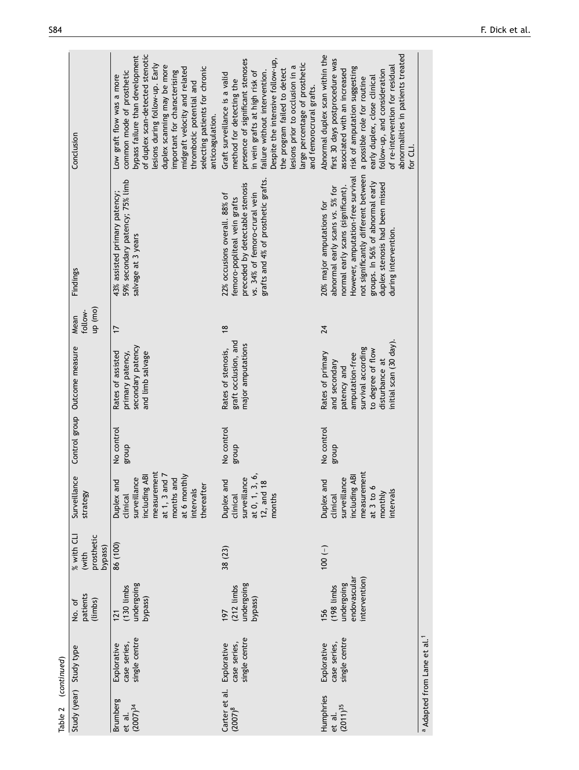| Table 2 (continued)                        |                                              |                                                                  |                                             |                                                                                                                                                  |                      |                                                                                                                                                           |                            |                                                                                                                                                                                                                                                                              |                                                                                                                                                                                                                                                                                                                                                    |
|--------------------------------------------|----------------------------------------------|------------------------------------------------------------------|---------------------------------------------|--------------------------------------------------------------------------------------------------------------------------------------------------|----------------------|-----------------------------------------------------------------------------------------------------------------------------------------------------------|----------------------------|------------------------------------------------------------------------------------------------------------------------------------------------------------------------------------------------------------------------------------------------------------------------------|----------------------------------------------------------------------------------------------------------------------------------------------------------------------------------------------------------------------------------------------------------------------------------------------------------------------------------------------------|
|                                            | Study (year) Study type                      | patients<br>(limbs)<br>No. of                                    | % with CL<br>prosthetic<br>bypass)<br>(with | Surveillance<br>strategy                                                                                                                         |                      | Control group Outcome measure                                                                                                                             | (ou) dn<br>follow-<br>Mean | Findings                                                                                                                                                                                                                                                                     | Conclusion                                                                                                                                                                                                                                                                                                                                         |
| <b>Brumberg</b><br>$(2007)^{34}$<br>et al. | single centre<br>case series,<br>Explorative | undergoing<br>bypass)<br>$(130$ limbs<br>121                     | 86 (100)                                    | measurement<br>at 1, 3 and 7<br>at 6 monthly<br>including ABI<br>months and<br>surveillance<br>Duplex and<br>thereafter<br>intervals<br>clinical | No control<br>dno.fa | secondary patency<br>Rates of assisted<br>primary patency,<br>and limb salvage                                                                            | 17                         | 59% secondary patency; 75% limb<br>43% assisted primary patency;<br>salvage at 3 years                                                                                                                                                                                       | of duplex scan-detected stenotic<br>bypass failure than development<br>lesions during follow-up. Early<br>duplex scanning may be more<br>selecting patients for chronic<br>midgraft velocity and related<br>common mode of prosthetic<br>important for characterising<br>Low graft flow was a more<br>thrombotic potential and<br>anticoagulation. |
| Carter et al.<br>$(2007)^8$                | single centre<br>case series,<br>Explorative | undergoing<br>$(212$ limbs<br>bypass)<br>197                     | 38 (23)                                     | 3, 6,<br>surveillance<br>Duplex and<br>$\frac{8}{2}$<br>at $0, 1, 1$<br>12, and<br>clinical<br>months                                            | No control<br>dno.fa | graft occlusion, and<br>major amputations<br>Rates of stenosis,                                                                                           | $\frac{8}{1}$              | grafts and 4% of prosthetic grafts.<br>preceded by detectable stenosis<br>vs. 34% of femoro-crural vein<br>22% occusions overall. 88% of<br>femoro-popliteal vein grafts                                                                                                     | Despite the intensive follow-up,<br>presence of significant stenoses<br>large percentage of prosthetic<br>lesions prior to occlusion in a<br>the program failed to detect<br>failure without intervention.<br>in vein grafts at high risk of<br>Graft surveillance is a valid<br>method for detecting the<br>and femorocrural grafts.              |
| Humphries<br>$(2011)^{35}$<br>et al.       | single centre<br>case series,<br>Explorative | endovascular<br>intervention)<br>undergoing<br>(198 limbs<br>156 | $( - ) 00 ( )$                              | measurement<br>at 3 to 6<br>including ABI<br>surveillance<br>Duplex and<br>monthly<br>intervals<br>at $3$ to<br>clinical                         | No control<br>dno.fa | initial scan (30 day)<br>survival according<br>to degree of flow<br>Rates of primary<br>amputation-free<br>disturbance at<br>and secondary<br>patency and | 24                         | not significantly different between<br>However, amputation-free survival<br>groups. In 56% of abnormal early<br>duplex stenosis had been missed<br>normal early scans (significant).<br>abnormal early scans vs. 5% for<br>20% major amputations for<br>during intervention. | Abnormal duplex scan within the<br>abnormalities in patients treated<br>first 30 days postprocedure was<br>of re-intervention for residual<br>risk of amputation suggesting<br>associated with an increased<br>follow-up, and consideration<br>early duplex, close clinical<br>a possible role for routine<br>for CLI.                             |
|                                            | a Adapted from Lane et al. <sup>1</sup>      |                                                                  |                                             |                                                                                                                                                  |                      |                                                                                                                                                           |                            |                                                                                                                                                                                                                                                                              |                                                                                                                                                                                                                                                                                                                                                    |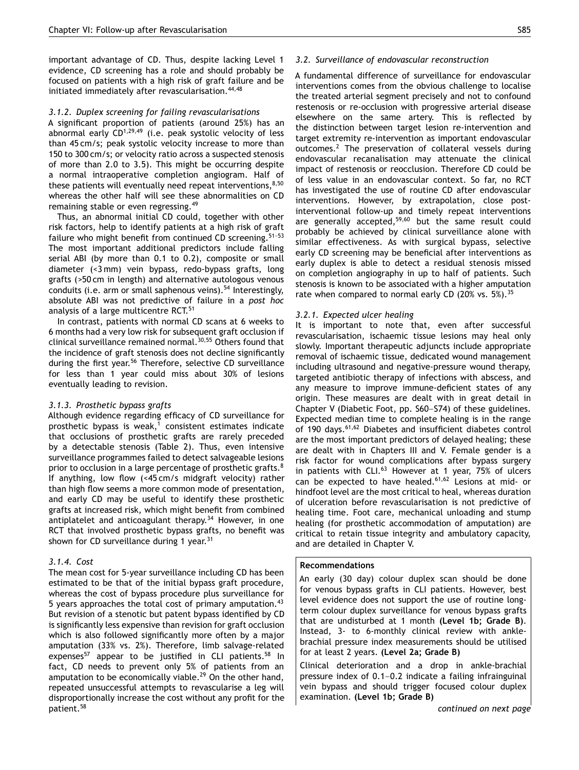important advantage of CD. Thus, despite lacking Level 1 evidence, CD screening has a role and should probably be focused on patients with a high risk of graft failure and be initiated immediately after revascularisation.<sup>44,48</sup>

#### 3.1.2. Duplex screening for failing revascularisations

A significant proportion of patients (around 25%) has an abnormal early  $CD^{1,29,49}$  (i.e. peak systolic velocity of less than 45 cm/s; peak systolic velocity increase to more than 150 to 300 cm/s; or velocity ratio across a suspected stenosis of more than 2.0 to 3.5). This might be occurring despite a normal intraoperative completion angiogram. Half of these patients will eventually need repeat interventions, $8,50$ whereas the other half will see these abnormalities on CD remaining stable or even regressing.49

Thus, an abnormal initial CD could, together with other risk factors, help to identify patients at a high risk of graft failure who might benefit from continued CD screening.  $51-53$ The most important additional predictors include falling serial ABI (by more than 0.1 to 0.2), composite or small diameter (<3 mm) vein bypass, redo-bypass grafts, long grafts (>50 cm in length) and alternative autologous venous conduits (i.e. arm or small saphenous veins).<sup>54</sup> Interestingly, absolute ABI was not predictive of failure in a post hoc analysis of a large multicentre RCT.<sup>51</sup>

In contrast, patients with normal CD scans at 6 weeks to 6 months had a very low risk for subsequent graft occlusion if clinical surveillance remained normal. $30,55$  Others found that the incidence of graft stenosis does not decline significantly during the first year.<sup>56</sup> Therefore, selective CD surveillance for less than 1 year could miss about 30% of lesions eventually leading to revision.

#### 3.1.3. Prosthetic bypass grafts

Although evidence regarding efficacy of CD surveillance for prosthetic bypass is weak, $1$  consistent estimates indicate that occlusions of prosthetic grafts are rarely preceded by a detectable stenosis (Table 2). Thus, even intensive surveillance programmes failed to detect salvageable lesions prior to occlusion in a large percentage of prosthetic grafts.<sup>8</sup> If anything, low flow (<45 cm/s midgraft velocity) rather than high flow seems a more common mode of presentation, and early CD may be useful to identify these prosthetic grafts at increased risk, which might benefit from combined antiplatelet and anticoagulant therapy.<sup>34</sup> However, in one RCT that involved prosthetic bypass grafts, no benefit was shown for CD surveillance during 1 year. $31$ 

#### 3.1.4. Cost

The mean cost for 5-year surveillance including CD has been estimated to be that of the initial bypass graft procedure, whereas the cost of bypass procedure plus surveillance for 5 years approaches the total cost of primary amputation.<sup>43</sup> But revision of a stenotic but patent bypass identified by CD is significantly less expensive than revision for graft occlusion which is also followed significantly more often by a major amputation (33% vs. 2%). Therefore, limb salvage-related expenses<sup>57</sup> appear to be justified in CLI patients.<sup>58</sup> In fact, CD needs to prevent only 5% of patients from an amputation to be economically viable.<sup>29</sup> On the other hand, repeated unsuccessful attempts to revascularise a leg will disproportionally increase the cost without any profit for the patient.58

#### 3.2. Surveillance of endovascular reconstruction

A fundamental difference of surveillance for endovascular interventions comes from the obvious challenge to localise the treated arterial segment precisely and not to confound restenosis or re-occlusion with progressive arterial disease elsewhere on the same artery. This is reflected by the distinction between target lesion re-intervention and target extremity re-intervention as important endovascular outcomes.2 The preservation of collateral vessels during endovascular recanalisation may attenuate the clinical impact of restenosis or reocclusion. Therefore CD could be of less value in an endovascular context. So far, no RCT has investigated the use of routine CD after endovascular interventions. However, by extrapolation, close postinterventional follow-up and timely repeat interventions are generally accepted, $59,60$  but the same result could probably be achieved by clinical surveillance alone with similar effectiveness. As with surgical bypass, selective early CD screening may be beneficial after interventions as early duplex is able to detect a residual stenosis missed on completion angiography in up to half of patients. Such stenosis is known to be associated with a higher amputation rate when compared to normal early CD  $(20\%)$  vs. 5%).<sup>35</sup>

#### 3.2.1. Expected ulcer healing

It is important to note that, even after successful revascularisation, ischaemic tissue lesions may heal only slowly. Important therapeutic adjuncts include appropriate removal of ischaemic tissue, dedicated wound management including ultrasound and negative-pressure wound therapy, targeted antibiotic therapy of infections with abscess, and any measure to improve immune-deficient states of any origin. These measures are dealt with in great detail in Chapter V (Diabetic Foot, pp. S60-S74) of these guidelines. Expected median time to complete healing is in the range of 190 days.<sup>61,62</sup> Diabetes and insufficient diabetes control are the most important predictors of delayed healing; these are dealt with in Chapters III and V. Female gender is a risk factor for wound complications after bypass surgery in patients with CLI. $^{63}$  However at 1 year, 75% of ulcers can be expected to have healed.61,62 Lesions at mid- or hindfoot level are the most critical to heal, whereas duration of ulceration before revascularisation is not predictive of healing time. Foot care, mechanical unloading and stump healing (for prosthetic accommodation of amputation) are critical to retain tissue integrity and ambulatory capacity, and are detailed in Chapter V.

#### Recommendations

An early (30 day) colour duplex scan should be done for venous bypass grafts in CLI patients. However, best level evidence does not support the use of routine longterm colour duplex surveillance for venous bypass grafts that are undisturbed at 1 month (Level 1b; Grade B). Instead, 3- to 6-monthly clinical review with anklebrachial pressure index measurements should be utilised for at least 2 years. (Level 2a; Grade B)

Clinical deterioration and a drop in ankle-brachial pressure index of  $0.1-0.2$  indicate a failing infrainguinal vein bypass and should trigger focused colour duplex examination. (Level 1b; Grade B)

continued on next page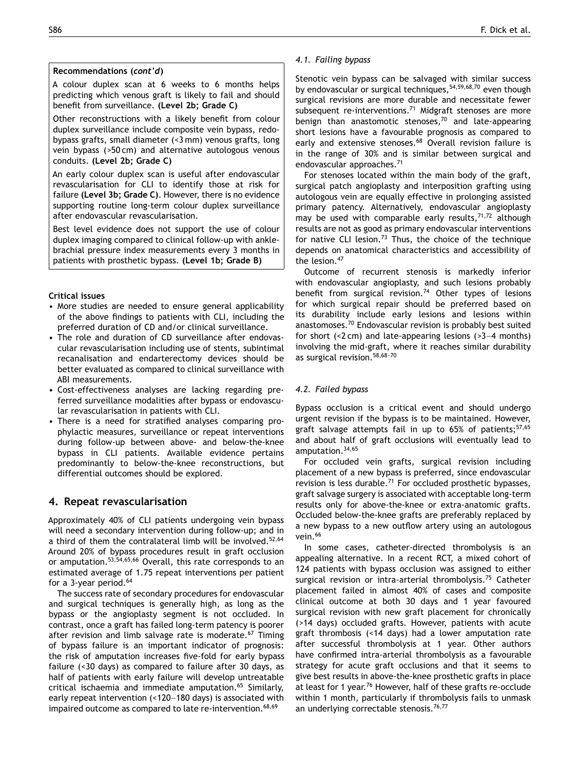#### Recommendations (cont'd)

A colour duplex scan at 6 weeks to 6 months helps predicting which venous graft is likely to fail and should benefit from surveillance. (Level 2b; Grade C)

Other reconstructions with a likely benefit from colour duplex surveillance include composite vein bypass, redobypass grafts, small diameter (<3 mm) venous grafts, long vein bypass (>50 cm) and alternative autologous venous conduits. (Level 2b; Grade C)

An early colour duplex scan is useful after endovascular revascularisation for CLI to identify those at risk for failure (Level 3b; Grade C). However, there is no evidence supporting routine long-term colour duplex surveillance after endovascular revascularisation.

Best level evidence does not support the use of colour duplex imaging compared to clinical follow-up with anklebrachial pressure index measurements every 3 months in patients with prosthetic bypass. (Level 1b; Grade B)

## Critical issues

- More studies are needed to ensure general applicability of the above findings to patients with CLI, including the preferred duration of CD and/or clinical surveillance.
- The role and duration of CD surveillance after endovascular revascularisation including use of stents, subintimal recanalisation and endarterectomy devices should be better evaluated as compared to clinical surveillance with ABI measurements.
- Cost-effectiveness analyses are lacking regarding preferred surveillance modalities after bypass or endovascular revascularisation in patients with CLI.
- There is a need for stratified analyses comparing prophylactic measures, surveillance or repeat interventions during follow-up between above- and below-the-knee bypass in CLI patients. Available evidence pertains predominantly to below-the-knee reconstructions, but differential outcomes should be explored.

# 4. Repeat revascularisation

Approximately 40% of CLI patients undergoing vein bypass will need a secondary intervention during follow-up; and in a third of them the contralateral limb will be involved.<sup>52,64</sup> Around 20% of bypass procedures result in graft occlusion or amputation.53,54,65,66 Overall, this rate corresponds to an estimated average of 1.75 repeat interventions per patient for a 3-year period. $64$ 

The success rate of secondary procedures for endovascular and surgical techniques is generally high, as long as the bypass or the angioplasty segment is not occluded. In contrast, once a graft has failed long-term patency is poorer after revision and limb salvage rate is moderate.<sup>67</sup> Timing of bypass failure is an important indicator of prognosis: the risk of amputation increases five-fold for early bypass failure (<30 days) as compared to failure after 30 days, as half of patients with early failure will develop untreatable critical ischaemia and immediate amputation.65 Similarly, early repeat intervention (<120–180 days) is associated with impaired outcome as compared to late re-intervention.<sup>68,69</sup>

#### 4.1. Failing bypass

Stenotic vein bypass can be salvaged with similar success by endovascular or surgical techniques,  $54,59,68,70$  even though surgical revisions are more durable and necessitate fewer subsequent re-interventions.<sup>71</sup> Midgraft stenoses are more benign than anastomotic stenoses, $70$  and late-appearing short lesions have a favourable prognosis as compared to early and extensive stenoses.<sup>68</sup> Overall revision failure is in the range of 30% and is similar between surgical and endovascular approaches.71

For stenoses located within the main body of the graft, surgical patch angioplasty and interposition grafting using autologous vein are equally effective in prolonging assisted primary patency. Alternatively, endovascular angioplasty may be used with comparable early results,  $71,72$  although results are not as good as primary endovascular interventions for native CLI lesion.<sup>73</sup> Thus, the choice of the technique depends on anatomical characteristics and accessibility of the lesion.<sup>47</sup>

Outcome of recurrent stenosis is markedly inferior with endovascular angioplasty, and such lesions probably benefit from surgical revision.<sup>74</sup> Other types of lesions for which surgical repair should be preferred based on its durability include early lesions and lesions within anastomoses.70 Endovascular revision is probably best suited for short  $( $2 \text{ cm}$ )$  and late-appearing lesions  $( $3-4$  months)$ involving the mid-graft, where it reaches similar durability as surgical revision.<sup>58,68-70</sup>

## 4.2. Failed bypass

Bypass occlusion is a critical event and should undergo urgent revision if the bypass is to be maintained. However, graft salvage attempts fail in up to  $65\%$  of patients;<sup>57,65</sup> and about half of graft occlusions will eventually lead to amputation.34,65

For occluded vein grafts, surgical revision including placement of a new bypass is preferred, since endovascular revision is less durable.<sup>71</sup> For occluded prosthetic bypasses, graft salvage surgery is associated with acceptable long-term results only for above-the-knee or extra-anatomic grafts. Occluded below-the-knee grafts are preferably replaced by a new bypass to a new outflow artery using an autologous vein.<sup>66</sup>

In some cases, catheter-directed thrombolysis is an appealing alternative. In a recent RCT, a mixed cohort of 124 patients with bypass occlusion was assigned to either surgical revision or intra-arterial thrombolysis.<sup>75</sup> Catheter placement failed in almost 40% of cases and composite clinical outcome at both 30 days and 1 year favoured surgical revision with new graft placement for chronically (>14 days) occluded grafts. However, patients with acute graft thrombosis (<14 days) had a lower amputation rate after successful thrombolysis at 1 year. Other authors have confirmed intra-arterial thrombolysis as a favourable strategy for acute graft occlusions and that it seems to give best results in above-the-knee prosthetic grafts in place at least for 1 year.<sup>76</sup> However, half of these grafts re-occlude within 1 month, particularly if thrombolysis fails to unmask an underlying correctable stenosis.<sup>76,77</sup>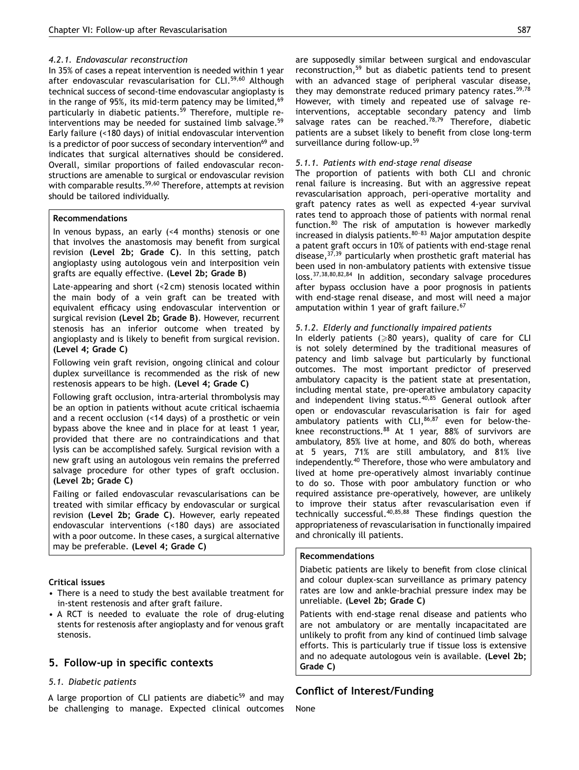#### 4.2.1. Endovascular reconstruction

In 35% of cases a repeat intervention is needed within 1 year after endovascular revascularisation for CLI.<sup>59,60</sup> Although technical success of second-time endovascular angioplasty is in the range of 95%, its mid-term patency may be limited,  $69$ particularly in diabetic patients.<sup>59</sup> Therefore, multiple reinterventions may be needed for sustained limb salvage.<sup>59</sup> Early failure (<180 days) of initial endovascular intervention is a predictor of poor success of secondary intervention<sup>69</sup> and indicates that surgical alternatives should be considered. Overall, similar proportions of failed endovascular reconstructions are amenable to surgical or endovascular revision with comparable results.<sup>59,60</sup> Therefore, attempts at revision should be tailored individually.

#### Recommendations

In venous bypass, an early (<4 months) stenosis or one that involves the anastomosis may benefit from surgical revision (Level 2b; Grade C). In this setting, patch angioplasty using autologous vein and interposition vein grafts are equally effective. (Level 2b; Grade B)

Late-appearing and short (<2 cm) stenosis located within the main body of a vein graft can be treated with equivalent efficacy using endovascular intervention or surgical revision (Level 2b; Grade B). However, recurrent stenosis has an inferior outcome when treated by angioplasty and is likely to benefit from surgical revision. (Level 4; Grade C)

Following vein graft revision, ongoing clinical and colour duplex surveillance is recommended as the risk of new restenosis appears to be high. (Level 4; Grade C)

Following graft occlusion, intra-arterial thrombolysis may be an option in patients without acute critical ischaemia and a recent occlusion (<14 days) of a prosthetic or vein bypass above the knee and in place for at least 1 year, provided that there are no contraindications and that lysis can be accomplished safely. Surgical revision with a new graft using an autologous vein remains the preferred salvage procedure for other types of graft occlusion. (Level 2b; Grade C)

Failing or failed endovascular revascularisations can be treated with similar efficacy by endovascular or surgical revision (Level 2b; Grade C). However, early repeated endovascular interventions (<180 days) are associated with a poor outcome. In these cases, a surgical alternative may be preferable. (Level 4; Grade C)

## Critical issues

- There is a need to study the best available treatment for in-stent restenosis and after graft failure.
- A RCT is needed to evaluate the role of drug-eluting stents for restenosis after angioplasty and for venous graft stenosis.

# 5. Follow-up in specific contexts

## 5.1. Diabetic patients

A large proportion of CLI patients are diabetic<sup>59</sup> and may be challenging to manage. Expected clinical outcomes are supposedly similar between surgical and endovascular reconstruction,59 but as diabetic patients tend to present with an advanced stage of peripheral vascular disease, they may demonstrate reduced primary patency rates.<sup>59,78</sup> However, with timely and repeated use of salvage reinterventions, acceptable secondary patency and limb salvage rates can be reached.<sup>78,79</sup> Therefore, diabetic patients are a subset likely to benefit from close long-term surveillance during follow-up.<sup>59</sup>

## 5.1.1. Patients with end-stage renal disease

The proportion of patients with both CLI and chronic renal failure is increasing. But with an aggressive repeat revascularisation approach, peri-operative mortality and graft patency rates as well as expected 4-year survival rates tend to approach those of patients with normal renal function.80 The risk of amputation is however markedly  $increased$  in dialysis patients. $80-83$  Major amputation despite a patent graft occurs in 10% of patients with end-stage renal disease, 37,39 particularly when prosthetic graft material has been used in non-ambulatory patients with extensive tissue loss.37,38,80,82,84 In addition, secondary salvage procedures after bypass occlusion have a poor prognosis in patients with end-stage renal disease, and most will need a major amputation within 1 year of graft failure. $67$ 

#### 5.1.2. Elderly and functionally impaired patients

In elderly patients ( $\geq 80$  years), quality of care for CLI is not solely determined by the traditional measures of patency and limb salvage but particularly by functional outcomes. The most important predictor of preserved ambulatory capacity is the patient state at presentation, including mental state, pre-operative ambulatory capacity and independent living status.40,85 General outlook after open or endovascular revascularisation is fair for aged ambulatory patients with CLI, $86,87$  even for below-theknee reconstructions.<sup>88</sup> At 1 year, 88% of survivors are ambulatory, 85% live at home, and 80% do both, whereas at 5 years, 71% are still ambulatory, and 81% live independently.40 Therefore, those who were ambulatory and lived at home pre-operatively almost invariably continue to do so. Those with poor ambulatory function or who required assistance pre-operatively, however, are unlikely to improve their status after revascularisation even if technically successful.40,85,88 These findings question the appropriateness of revascularisation in functionally impaired and chronically ill patients.

## Recommendations

Diabetic patients are likely to benefit from close clinical and colour duplex-scan surveillance as primary patency rates are low and ankle-brachial pressure index may be unreliable. (Level 2b; Grade C)

Patients with end-stage renal disease and patients who are not ambulatory or are mentally incapacitated are unlikely to profit from any kind of continued limb salvage efforts. This is particularly true if tissue loss is extensive and no adequate autologous vein is available. (Level 2b; Grade C)

# Conflict of Interest/Funding

None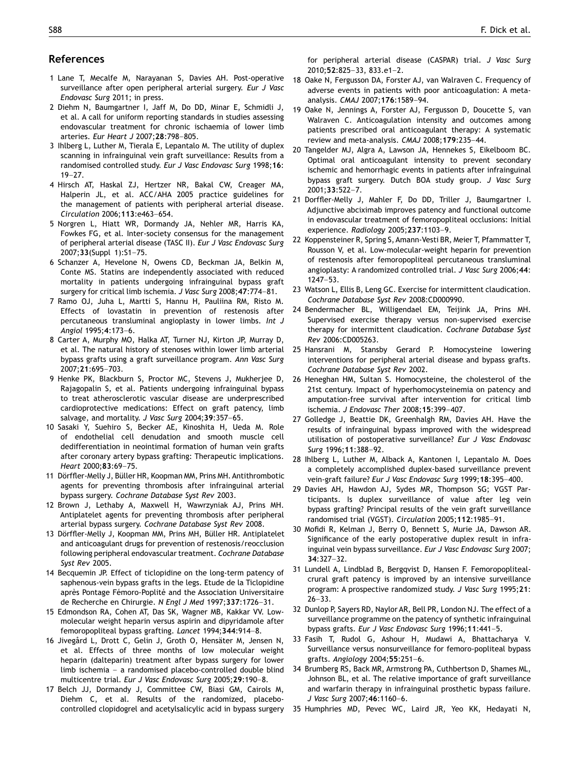# References

- 1 Lane T, Mecalfe M, Narayanan S, Davies AH. Post-operative surveillance after open peripheral arterial surgery. Eur J Vasc Endovasc Surg 2011; in press.
- 2 Diehm N, Baumgartner I, Jaff M, Do DD, Minar E, Schmidli J, et al. A call for uniform reporting standards in studies assessing endovascular treatment for chronic ischaemia of lower limb arteries. Eur Heart J 2007:28:798-805.
- 3 Ihlberg L, Luther M, Tierala E, Lepantalo M. The utility of duplex scanning in infrainguinal vein graft surveillance: Results from a randomised controlled study. Eur J Vasc Endovasc Surg 1998;16:  $19-27.$
- 4 Hirsch AT, Haskal ZJ, Hertzer NR, Bakal CW, Creager MA, Halperin JL, et al. ACC/AHA 2005 practice guidelines for the management of patients with peripheral arterial disease. Circulation 2006;113:e463-654.
- 5 Norgren L, Hiatt WR, Dormandy JA, Nehler MR, Harris KA, Fowkes FG, et al. Inter-society consensus for the management of peripheral arterial disease (TASC II). Eur J Vasc Endovasc Surg 2007;33(Suppl 1):S1-75.
- 6 Schanzer A, Hevelone N, Owens CD, Beckman JA, Belkin M, Conte MS. Statins are independently associated with reduced mortality in patients undergoing infrainguinal bypass graft surgery for critical limb ischemia. J Vasc Surg 2008;47:774-81.
- 7 Ramo OJ, Juha L, Martti S, Hannu H, Pauliina RM, Risto M. Effects of lovastatin in prevention of restenosis after percutaneous transluminal angioplasty in lower limbs. Int J Angiol 1995;4:173-6.
- 8 Carter A, Murphy MO, Halka AT, Turner NJ, Kirton JP, Murray D, et al. The natural history of stenoses within lower limb arterial bypass grafts using a graft surveillance program. Ann Vasc Surg 2007;21:695––703.
- 9 Henke PK, Blackburn S, Proctor MC, Stevens J, Mukherjee D, Rajagopalin S, et al. Patients undergoing infrainguinal bypass to treat atherosclerotic vascular disease are underprescribed cardioprotective medications: Effect on graft patency, limb salvage, and mortality. J Vasc Surg 2004;39:357-65.
- 10 Sasaki Y, Suehiro S, Becker AE, Kinoshita H, Ueda M. Role of endothelial cell denudation and smooth muscle cell dedifferentiation in neointimal formation of human vein grafts after coronary artery bypass grafting: Therapeutic implications. Heart 2000;83:69-75.
- 11 Dörffler-Melly J, Büller HR, Koopman MM, Prins MH. Antithrombotic agents for preventing thrombosis after infrainguinal arterial bypass surgery. Cochrane Database Syst Rev 2003.
- 12 Brown J, Lethaby A, Maxwell H, Wawrzyniak AJ, Prins MH. Antiplatelet agents for preventing thrombosis after peripheral arterial bypass surgery. Cochrane Database Syst Rev 2008.
- 13 Dörffler-Melly J, Koopman MM, Prins MH, Büller HR. Antiplatelet and anticoagulant drugs for prevention of restenosis/reocclusion following peripheral endovascular treatment. Cochrane Database Syst Rev 2005.
- 14 Becquemin JP. Effect of ticlopidine on the long-term patency of saphenous-vein bypass grafts in the legs. Etude de la Ticlopidine après Pontage Fémoro-Poplité and the Association Universitaire de Recherche en Chirurgie. N Engl J Med 1997;337:1726-31.
- 15 Edmondson RA, Cohen AT, Das SK, Wagner MB, Kakkar VV. Lowmolecular weight heparin versus aspirin and dipyridamole after femoropopliteal bypass grafting. Lancet 1994;344:914-8.
- 16 Jivegård L, Drott C, Gelin J, Groth O, Hensäter M, Jensen N, et al. Effects of three months of low molecular weight heparin (dalteparin) treatment after bypass surgery for lower limb ischemia –– a randomised placebo-controlled double blind multicentre trial. Eur J Vasc Endovasc Surg 2005;29:190-8.
- 17 Belch JJ, Dormandy J, Committee CW, Biasi GM, Cairols M, Diehm C, et al. Results of the randomized, placebocontrolled clopidogrel and acetylsalicylic acid in bypass surgery

for peripheral arterial disease (CASPAR) trial. J Vasc Surg 2010;52:825-33, 833.e1-2.

- 18 Oake N, Fergusson DA, Forster AJ, van Walraven C. Frequency of adverse events in patients with poor anticoagulation: A metaanalysis. CMAJ 2007;176:1589-94.
- 19 Oake N, Jennings A, Forster AJ, Fergusson D, Doucette S, van Walraven C. Anticoagulation intensity and outcomes among patients prescribed oral anticoagulant therapy: A systematic review and meta-analysis. CMAJ 2008;179:235-44.
- 20 Tangelder MJ, Algra A, Lawson JA, Hennekes S, Eikelboom BC. Optimal oral anticoagulant intensity to prevent secondary ischemic and hemorrhagic events in patients after infrainguinal bypass graft surgery. Dutch BOA study group. J Vasc Surg 2001;33:522––7.
- 21 Dorffler-Melly J, Mahler F, Do DD, Triller J, Baumgartner I. Adjunctive abciximab improves patency and functional outcome in endovascular treatment of femoropopliteal occlusions: Initial experience. Radiology 2005;237:1103––9.
- 22 Koppensteiner R, Spring S, Amann-Vesti BR, Meier T, Pfammatter T, Rousson V, et al. Low-molecular-weight heparin for prevention of restenosis after femoropopliteal percutaneous transluminal angioplasty: A randomized controlled trial. J Vasc Surg 2006;44:  $1247 - 53$ .
- 23 Watson L, Ellis B, Leng GC. Exercise for intermittent claudication. Cochrane Database Syst Rev 2008:CD000990.
- 24 Bendermacher BL, Willigendael EM, Teijink JA, Prins MH. Supervised exercise therapy versus non-supervised exercise therapy for intermittent claudication. Cochrane Database Syst Rev 2006:CD005263.
- 25 Hansrani M, Stansby Gerard P. Homocysteine lowering interventions for peripheral arterial disease and bypass grafts. Cochrane Database Syst Rev 2002.
- 26 Heneghan HM, Sultan S. Homocysteine, the cholesterol of the 21st century. Impact of hyperhomocysteinemia on patency and amputation-free survival after intervention for critical limb ischemia. J Endovasc Ther 2008;15:399-407.
- 27 Golledge J, Beattie DK, Greenhalgh RM, Davies AH. Have the results of infrainguinal bypass improved with the widespread utilisation of postoperative surveillance? Eur J Vasc Endovasc Surg 1996;11:388-92.
- 28 Ihlberg L, Luther M, Alback A, Kantonen I, Lepantalo M. Does a completely accomplished duplex-based surveillance prevent vein-graft failure? Eur J Vasc Endovasc Surg 1999;18:395-400.
- 29 Davies AH, Hawdon AJ, Sydes MR, Thompson SG; VGST Participants. Is duplex surveillance of value after leg vein bypass grafting? Principal results of the vein graft surveillance randomised trial (VGST). Circulation 2005;112:1985-91.
- 30 Mofidi R, Kelman J, Berry O, Bennett S, Murie JA, Dawson AR. Significance of the early postoperative duplex result in infrainguinal vein bypass surveillance. Eur J Vasc Endovasc Surg 2007;  $34:327-32$ .
- 31 Lundell A, Lindblad B, Bergqvist D, Hansen F. Femoropoplitealcrural graft patency is improved by an intensive surveillance program: A prospective randomized study. J Vasc Surg 1995;21:  $26 - 33.$
- 32 Dunlop P, Sayers RD, Naylor AR, Bell PR, London NJ. The effect of a surveillance programme on the patency of synthetic infrainguinal bypass grafts. Eur J Vasc Endovasc Surg 1996;11:441––5.
- 33 Fasih T, Rudol G, Ashour H, Mudawi A, Bhattacharya V. Surveillance versus nonsurveillance for femoro-popliteal bypass grafts. Angiology 2004;55:251-6.
- 34 Brumberg RS, Back MR, Armstrong PA, Cuthbertson D, Shames ML, Johnson BL, et al. The relative importance of graft surveillance and warfarin therapy in infrainguinal prosthetic bypass failure. J Vasc Surg 2007;46:1160-6.
- 35 Humphries MD, Pevec WC, Laird JR, Yeo KK, Hedayati N,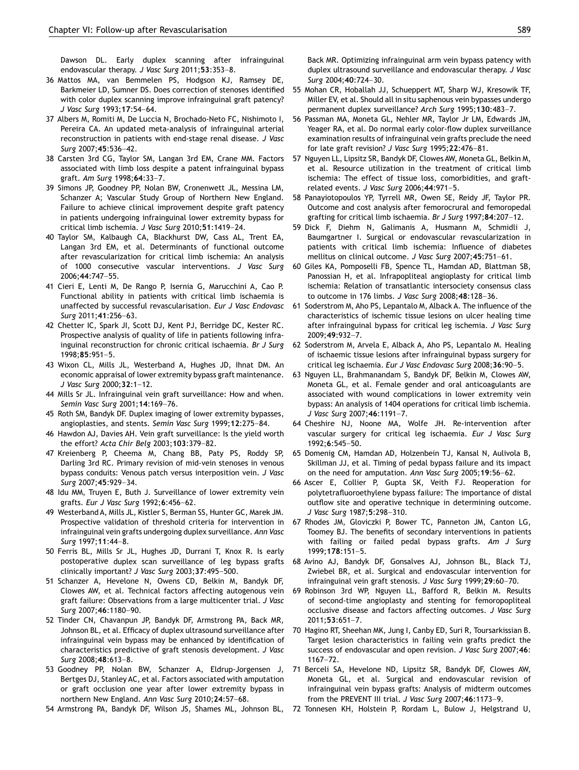Dawson DL. Early duplex scanning after infrainguinal endovascular therapy. J Vasc Surg 2011;53:353-8.

- 36 Mattos MA, van Bemmelen PS, Hodgson KJ, Ramsey DE, Barkmeier LD, Sumner DS. Does correction of stenoses identified with color duplex scanning improve infrainguinal graft patency? J Vasc Surg 1993;17:54-64.
- 37 Albers M, Romiti M, De Luccia N, Brochado-Neto FC, Nishimoto I, Pereira CA. An updated meta-analysis of infrainguinal arterial reconstruction in patients with end-stage renal disease. J Vasc Surg 2007;45:536-42.
- 38 Carsten 3rd CG, Taylor SM, Langan 3rd EM, Crane MM. Factors associated with limb loss despite a patent infrainguinal bypass graft. Am Surg 1998;64:33––7.
- 39 Simons JP, Goodney PP, Nolan BW, Cronenwett JL, Messina LM, Schanzer A; Vascular Study Group of Northern New England. Failure to achieve clinical improvement despite graft patency in patients undergoing infrainguinal lower extremity bypass for critical limb ischemia. J Vasc Surg 2010;51:1419-24.
- 40 Taylor SM, Kalbaugh CA, Blackhurst DW, Cass AL, Trent EA, Langan 3rd EM, et al. Determinants of functional outcome after revascularization for critical limb ischemia: An analysis of 1000 consecutive vascular interventions. J Vasc Surg 2006;44:747––55.
- 41 Cieri E, Lenti M, De Rango P, Isernia G, Marucchini A, Cao P. Functional ability in patients with critical limb ischaemia is unaffected by successful revascularisation. Eur J Vasc Endovasc Surg 2011;41:256-63.
- 42 Chetter IC, Spark JI, Scott DJ, Kent PJ, Berridge DC, Kester RC. Prospective analysis of quality of life in patients following infrainguinal reconstruction for chronic critical ischaemia. Br J Surg 1998;85:951––5.
- 43 Wixon CL, Mills JL, Westerband A, Hughes JD, Ihnat DM. An economic appraisal of lower extremity bypass graft maintenance. J Vasc Surg 2000;32:1-12.
- 44 Mills Sr JL. Infrainguinal vein graft surveillance: How and when. Semin Vasc Surg 2001;14:169-76.
- 45 Roth SM, Bandyk DF. Duplex imaging of lower extremity bypasses, angioplasties, and stents. Semin Vasc Surg 1999;12:275-84.
- 46 Hawdon AJ, Davies AH. Vein graft surveillance: Is the yield worth the effort? Acta Chir Belg 2003;103:379-82.
- 47 Kreienberg P, Cheema M, Chang BB, Paty PS, Roddy SP, Darling 3rd RC. Primary revision of mid-vein stenoses in venous bypass conduits: Venous patch versus interposition vein. J Vasc Surg 2007;45:929-34.
- 48 Idu MM, Truyen E, Buth J. Surveillance of lower extremity vein grafts. Eur J Vasc Surg 1992;6:456-62.
- 49 Westerband A, Mills JL, Kistler S, Berman SS, Hunter GC, Marek JM. Prospective validation of threshold criteria for intervention in infrainguinal vein grafts undergoing duplex surveillance. Ann Vasc Surg 1997;11:44-8.
- 50 Ferris BL, Mills Sr JL, Hughes JD, Durrani T, Knox R. Is early postoperative duplex scan surveillance of leg bypass grafts clinically important? J Vasc Surg 2003;37:495-500.
- 51 Schanzer A, Hevelone N, Owens CD, Belkin M, Bandyk DF, Clowes AW, et al. Technical factors affecting autogenous vein graft failure: Observations from a large multicenter trial. J Vasc Surg 2007;46:1180-90.
- 52 Tinder CN, Chavanpun JP, Bandyk DF, Armstrong PA, Back MR, Johnson BL, et al. Efficacy of duplex ultrasound surveillance after infrainguinal vein bypass may be enhanced by identification of characteristics predictive of graft stenosis development. J Vasc Surg 2008;48:613-8.
- 53 Goodney PP, Nolan BW, Schanzer A, Eldrup-Jorgensen J, Bertges DJ, Stanley AC, et al. Factors associated with amputation or graft occlusion one year after lower extremity bypass in northern New England. Ann Vasc Surg 2010;24:57-68.

54 Armstrong PA, Bandyk DF, Wilson JS, Shames ML, Johnson BL,

Back MR. Optimizing infrainguinal arm vein bypass patency with duplex ultrasound surveillance and endovascular therapy. J Vasc Surg 2004;40:724-30.

- 55 Mohan CR, Hoballah JJ, Schueppert MT, Sharp WJ, Kresowik TF, Miller EV, et al. Should all in situ saphenous vein bypasses undergo permanent duplex surveillance? Arch Surg 1995;130:483––7.
- 56 Passman MA, Moneta GL, Nehler MR, Taylor Jr LM, Edwards JM, Yeager RA, et al. Do normal early color-flow duplex surveillance examination results of infrainguinal vein grafts preclude the need for late graft revision? J Vasc Surg 1995;22:476-81.
- 57 Nguyen LL, Lipsitz SR, Bandyk DF, Clowes AW, Moneta GL, Belkin M, et al. Resource utilization in the treatment of critical limb ischemia: The effect of tissue loss, comorbidities, and graftrelated events. J Vasc Surg 2006;44:971––5.
- 58 Panayiotopoulos YP, Tyrrell MR, Owen SE, Reidy JF, Taylor PR. Outcome and cost analysis after femorocrural and femoropedal grafting for critical limb ischaemia. Br J Surg 1997;84:207-12.
- 59 Dick F, Diehm N, Galimanis A, Husmann M, Schmidli J, Baumgartner I. Surgical or endovascular revascularization in patients with critical limb ischemia: Influence of diabetes mellitus on clinical outcome. J Vasc Surg 2007;45:751-61.
- 60 Giles KA, Pomposelli FB, Spence TL, Hamdan AD, Blattman SB, Panossian H, et al. Infrapopliteal angioplasty for critical limb ischemia: Relation of transatlantic intersociety consensus class to outcome in 176 limbs. *J Vasc Surg* 2008;48:128-36.
- 61 Soderstrom M, Aho PS, Lepantalo M, Alback A. The influence of the characteristics of ischemic tissue lesions on ulcer healing time after infrainguinal bypass for critical leg ischemia. J Vasc Surg 2009;49:932––7.
- 62 Soderstrom M, Arvela E, Alback A, Aho PS, Lepantalo M. Healing of ischaemic tissue lesions after infrainguinal bypass surgery for critical leg ischaemia. Eur J Vasc Endovasc Surg 2008;36:90-5.
- 63 Nguyen LL, Brahmanandam S, Bandyk DF, Belkin M, Clowes AW, Moneta GL, et al. Female gender and oral anticoagulants are associated with wound complications in lower extremity vein bypass: An analysis of 1404 operations for critical limb ischemia. J Vasc Surg 2007;46:1191––7.
- 64 Cheshire NJ, Noone MA, Wolfe JH. Re-intervention after vascular surgery for critical leg ischaemia. Eur J Vasc Surg 1992;6:545––50.
- 65 Domenig CM, Hamdan AD, Holzenbein TJ, Kansal N, Aulivola B, Skillman JJ, et al. Timing of pedal bypass failure and its impact on the need for amputation. Ann Vasc Surg 2005;19:56-62.
- 66 Ascer E, Collier P, Gupta SK, Veith FJ. Reoperation for polytetrafluoroethylene bypass failure: The importance of distal outflow site and operative technique in determining outcome. J Vasc Surg 1987;5:298––310.
- 67 Rhodes JM, Gloviczki P, Bower TC, Panneton JM, Canton LG, Toomey BJ. The benefits of secondary interventions in patients with failing or failed pedal bypass grafts. Am J Surg 1999;178:151––5.
- 68 Avino AJ, Bandyk DF, Gonsalves AJ, Johnson BL, Black TJ, Zwiebel BR, et al. Surgical and endovascular intervention for infrainguinal vein graft stenosis. J Vasc Surg 1999;29:60-70.
- 69 Robinson 3rd WP, Nguyen LL, Bafford R, Belkin M. Results of second-time angioplasty and stenting for femoropopliteal occlusive disease and factors affecting outcomes. J Vasc Surg 2011;53:651––7.
- 70 Hagino RT, Sheehan MK, Jung I, Canby ED, Suri R, Toursarkissian B. Target lesion characteristics in failing vein grafts predict the success of endovascular and open revision. J Vasc Surg 2007;46:  $1167 - 72$ .
- 71 Berceli SA, Hevelone ND, Lipsitz SR, Bandyk DF, Clowes AW, Moneta GL, et al. Surgical and endovascular revision of infrainguinal vein bypass grafts: Analysis of midterm outcomes from the PREVENT III trial. J Vasc Surg 2007;46:1173-9.
- 72 Tonnesen KH, Holstein P, Rordam L, Bulow J, Helgstrand U,